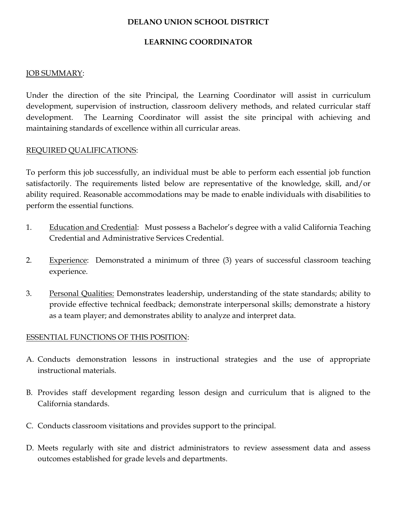#### **DELANO UNION SCHOOL DISTRICT**

## **LEARNING COORDINATOR**

### JOB SUMMARY:

Under the direction of the site Principal, the Learning Coordinator will assist in curriculum development, supervision of instruction, classroom delivery methods, and related curricular staff development. The Learning Coordinator will assist the site principal with achieving and maintaining standards of excellence within all curricular areas.

### REQUIRED QUALIFICATIONS:

To perform this job successfully, an individual must be able to perform each essential job function satisfactorily. The requirements listed below are representative of the knowledge, skill, and/or ability required. Reasonable accommodations may be made to enable individuals with disabilities to perform the essential functions.

- 1. Education and Credential: Must possess a Bachelor's degree with a valid California Teaching Credential and Administrative Services Credential.
- 2. Experience: Demonstrated a minimum of three (3) years of successful classroom teaching experience.
- 3. Personal Qualities: Demonstrates leadership, understanding of the state standards; ability to provide effective technical feedback; demonstrate interpersonal skills; demonstrate a history as a team player; and demonstrates ability to analyze and interpret data.

## ESSENTIAL FUNCTIONS OF THIS POSITION:

- A. Conducts demonstration lessons in instructional strategies and the use of appropriate instructional materials.
- B. Provides staff development regarding lesson design and curriculum that is aligned to the California standards.
- C. Conducts classroom visitations and provides support to the principal.
- D. Meets regularly with site and district administrators to review assessment data and assess outcomes established for grade levels and departments.